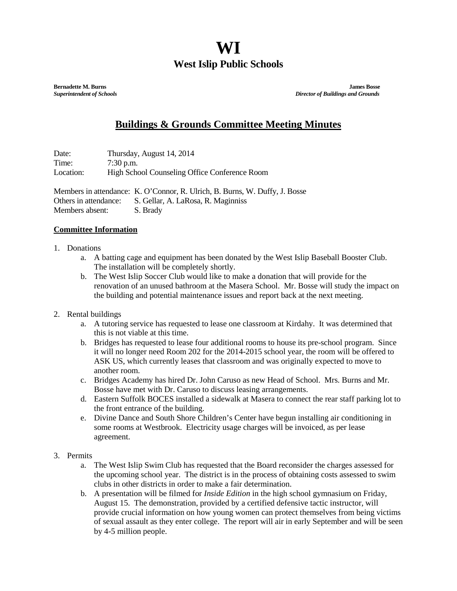## **WI West Islip Public Schools**

**Bernadette M. Burns James Bosse** *Superintendent of Schools**Director of Buildings and Grounds*

## **Buildings & Grounds Committee Meeting Minutes**

Date: Thursday, August 14, 2014 Time: 7:30 p.m. Location: High School Counseling Office Conference Room

Members in attendance: K. O'Connor, R. Ulrich, B. Burns, W. Duffy, J. Bosse Others in attendance: S. Gellar, A. LaRosa, R. Maginniss Members absent: S. Brady

## **Committee Information**

- 1. Donations
	- a. A batting cage and equipment has been donated by the West Islip Baseball Booster Club. The installation will be completely shortly.
	- b. The West Islip Soccer Club would like to make a donation that will provide for the renovation of an unused bathroom at the Masera School. Mr. Bosse will study the impact on the building and potential maintenance issues and report back at the next meeting.
- 2. Rental buildings
	- a. A tutoring service has requested to lease one classroom at Kirdahy. It was determined that this is not viable at this time.
	- b. Bridges has requested to lease four additional rooms to house its pre-school program. Since it will no longer need Room 202 for the 2014-2015 school year, the room will be offered to ASK US, which currently leases that classroom and was originally expected to move to another room.
	- c. Bridges Academy has hired Dr. John Caruso as new Head of School. Mrs. Burns and Mr. Bosse have met with Dr. Caruso to discuss leasing arrangements.
	- d. Eastern Suffolk BOCES installed a sidewalk at Masera to connect the rear staff parking lot to the front entrance of the building.
	- e. Divine Dance and South Shore Children's Center have begun installing air conditioning in some rooms at Westbrook. Electricity usage charges will be invoiced, as per lease agreement.
- 3. Permits
	- a. The West Islip Swim Club has requested that the Board reconsider the charges assessed for the upcoming school year. The district is in the process of obtaining costs assessed to swim clubs in other districts in order to make a fair determination.
	- b. A presentation will be filmed for *Inside Edition* in the high school gymnasium on Friday, August 15. The demonstration, provided by a certified defensive tactic instructor, will provide crucial information on how young women can protect themselves from being victims of sexual assault as they enter college. The report will air in early September and will be seen by 4-5 million people.